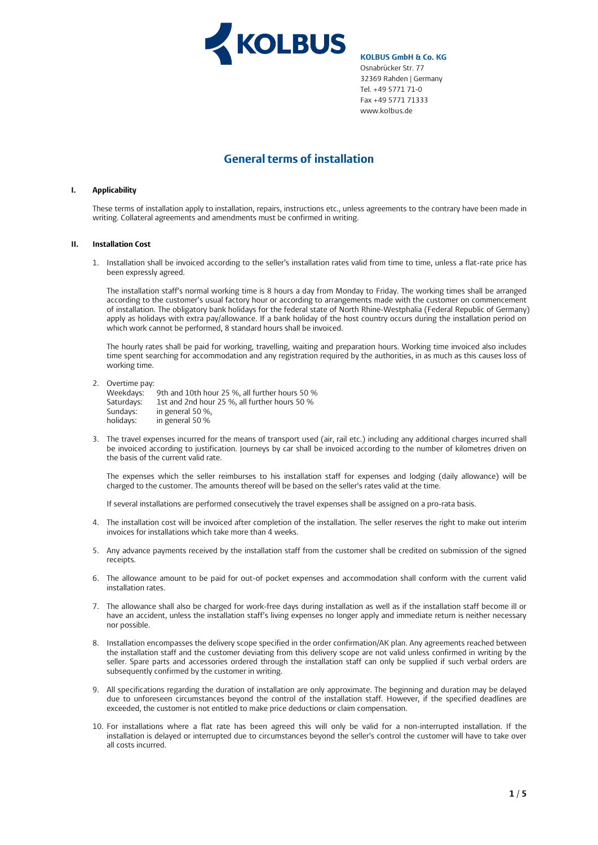

# **General terms of installation**

# **I. Applicability**

These terms of installation apply to installation, repairs, instructions etc., unless agreements to the contrary have been made in writing. Collateral agreements and amendments must be confirmed in writing.

### **II. Installation Cost**

1. Installation shall be invoiced according to the seller's installation rates valid from time to time, unless a flat-rate price has been expressly agreed.

The installation staff's normal working time is 8 hours a day from Monday to Friday. The working times shall be arranged according to the customer's usual factory hour or according to arrangements made with the customer on commencement of installation. The obligatory bank holidays for the federal state of North Rhine-Westphalia (Federal Republic of Germany) apply as holidays with extra pay/allowance. If a bank holiday of the host country occurs during the installation period on which work cannot be performed, 8 standard hours shall be invoiced.

The hourly rates shall be paid for working, travelling, waiting and preparation hours. Working time invoiced also includes time spent searching for accommodation and any registration required by the authorities, in as much as this causes loss of working time.

2. Overtime pay:

Weekdays: 9th and 10th hour 25 %, all further hours 50 %<br>Saturdays: 1st and 2nd hour 25 %, all further hours 50 % Saturdays: 1st and 2nd hour 25 %, all further hours 50 %<br>Sundays: in general 50 %, in general 50 %, holidays: in general 50 %

3. The travel expenses incurred for the means of transport used (air, rail etc.) including any additional charges incurred shall be invoiced according to justification. Journeys by car shall be invoiced according to the number of kilometres driven on the basis of the current valid rate.

The expenses which the seller reimburses to his installation staff for expenses and lodging (daily allowance) will be charged to the customer. The amounts thereof will be based on the seller's rates valid at the time.

If several installations are performed consecutively the travel expenses shall be assigned on a pro-rata basis.

- 4. The installation cost will be invoiced after completion of the installation. The seller reserves the right to make out interim invoices for installations which take more than 4 weeks.
- 5. Any advance payments received by the installation staff from the customer shall be credited on submission of the signed receipts.
- 6. The allowance amount to be paid for out-of pocket expenses and accommodation shall conform with the current valid installation rates.
- 7. The allowance shall also be charged for work-free days during installation as well as if the installation staff become ill or have an accident, unless the installation staff's living expenses no longer apply and immediate return is neither necessary nor possible.
- 8. Installation encompasses the delivery scope specified in the order confirmation/AK plan. Any agreements reached between the installation staff and the customer deviating from this delivery scope are not valid unless confirmed in writing by the seller. Spare parts and accessories ordered through the installation staff can only be supplied if such verbal orders are subsequently confirmed by the customer in writing.
- 9. All specifications regarding the duration of installation are only approximate. The beginning and duration may be delayed due to unforeseen circumstances beyond the control of the installation staff. However, if the specified deadlines are exceeded, the customer is not entitled to make price deductions or claim compensation.
- 10. For installations where a flat rate has been agreed this will only be valid for a non-interrupted installation. If the installation is delayed or interrupted due to circumstances beyond the seller's control the customer will have to take over all costs incurred.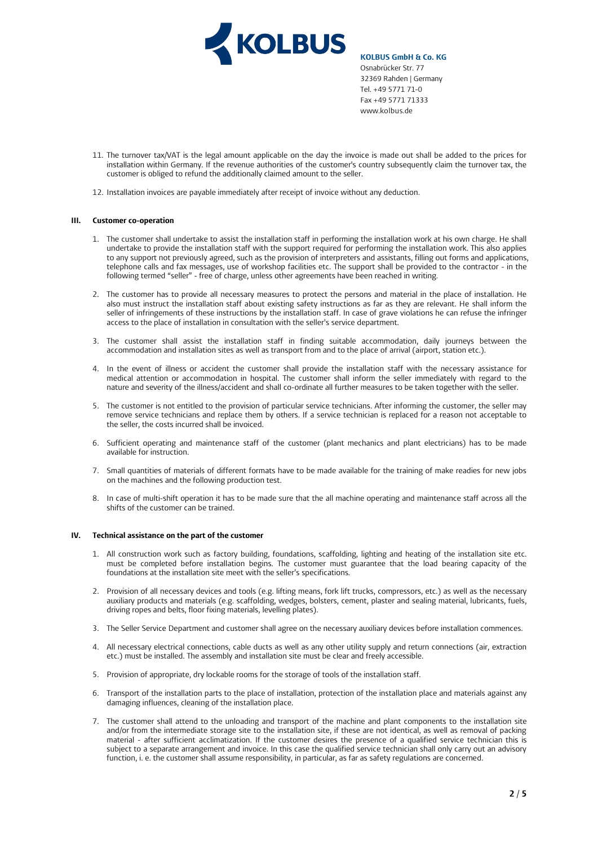

- 11. The turnover tax/VAT is the legal amount applicable on the day the invoice is made out shall be added to the prices for installation within Germany. If the revenue authorities of the customer's country subsequently claim the turnover tax, the customer is obliged to refund the additionally claimed amount to the seller.
- 12. Installation invoices are payable immediately after receipt of invoice without any deduction.

### **III. Customer co-operation**

- 1. The customer shall undertake to assist the installation staff in performing the installation work at his own charge. He shall undertake to provide the installation staff with the support required for performing the installation work. This also applies to any support not previously agreed, such as the provision of interpreters and assistants, filling out forms and applications, telephone calls and fax messages, use of workshop facilities etc. The support shall be provided to the contractor - in the following termed "seller" - free of charge, unless other agreements have been reached in writing.
- 2. The customer has to provide all necessary measures to protect the persons and material in the place of installation. He also must instruct the installation staff about existing safety instructions as far as they are relevant. He shall inform the seller of infringements of these instructions by the installation staff. In case of grave violations he can refuse the infringer access to the place of installation in consultation with the seller's service department.
- 3. The customer shall assist the installation staff in finding suitable accommodation, daily journeys between the accommodation and installation sites as well as transport from and to the place of arrival (airport, station etc.).
- 4. In the event of illness or accident the customer shall provide the installation staff with the necessary assistance for medical attention or accommodation in hospital. The customer shall inform the seller immediately with regard to the nature and severity of the illness/accident and shall co-ordinate all further measures to be taken together with the seller.
- 5. The customer is not entitled to the provision of particular service technicians. After informing the customer, the seller may remove service technicians and replace them by others. If a service technician is replaced for a reason not acceptable to the seller, the costs incurred shall be invoiced.
- 6. Sufficient operating and maintenance staff of the customer (plant mechanics and plant electricians) has to be made available for instruction.
- 7. Small quantities of materials of different formats have to be made available for the training of make readies for new jobs on the machines and the following production test.
- 8. In case of multi-shift operation it has to be made sure that the all machine operating and maintenance staff across all the shifts of the customer can be trained.

## **IV. Technical assistance on the part of the customer**

- 1. All construction work such as factory building, foundations, scaffolding, lighting and heating of the installation site etc. must be completed before installation begins. The customer must guarantee that the load bearing capacity of the foundations at the installation site meet with the seller's specifications.
- 2. Provision of all necessary devices and tools (e.g. lifting means, fork lift trucks, compressors, etc.) as well as the necessary auxiliary products and materials (e.g. scaffolding, wedges, bolsters, cement, plaster and sealing material, lubricants, fuels, driving ropes and belts, floor fixing materials, levelling plates).
- 3. The Seller Service Department and customer shall agree on the necessary auxiliary devices before installation commences.
- 4. All necessary electrical connections, cable ducts as well as any other utility supply and return connections (air, extraction etc.) must be installed. The assembly and installation site must be clear and freely accessible.
- 5. Provision of appropriate, dry lockable rooms for the storage of tools of the installation staff.
- 6. Transport of the installation parts to the place of installation, protection of the installation place and materials against any damaging influences, cleaning of the installation place.
- 7. The customer shall attend to the unloading and transport of the machine and plant components to the installation site and/or from the intermediate storage site to the installation site, if these are not identical, as well as removal of packing material - after sufficient acclimatization. If the customer desires the presence of a qualified service technician this is subject to a separate arrangement and invoice. In this case the qualified service technician shall only carry out an advisory function, i. e. the customer shall assume responsibility, in particular, as far as safety regulations are concerned.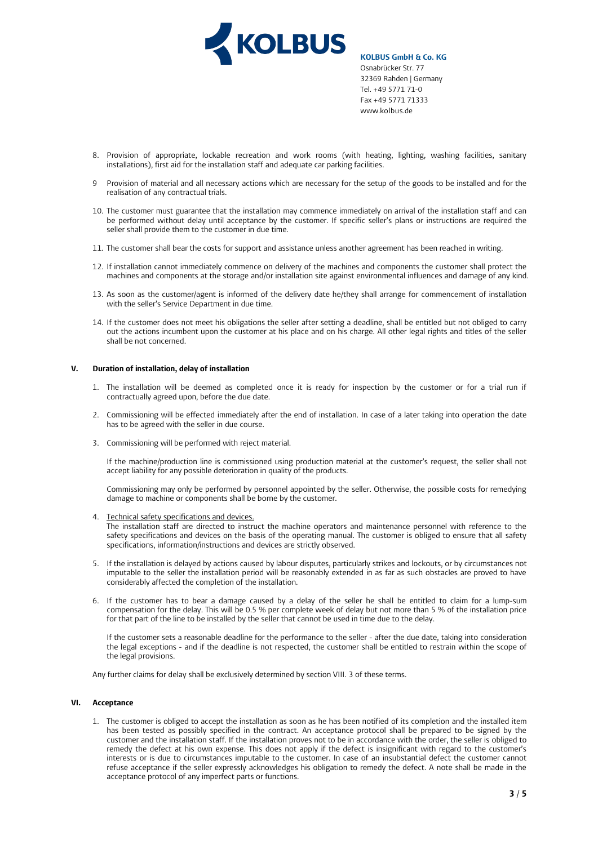

- 8. Provision of appropriate, lockable recreation and work rooms (with heating, lighting, washing facilities, sanitary installations), first aid for the installation staff and adequate car parking facilities.
- 9 Provision of material and all necessary actions which are necessary for the setup of the goods to be installed and for the realisation of any contractual trials.
- 10. The customer must guarantee that the installation may commence immediately on arrival of the installation staff and can be performed without delay until acceptance by the customer. If specific seller's plans or instructions are required the seller shall provide them to the customer in due time.
- 11. The customer shall bear the costs for support and assistance unless another agreement has been reached in writing.
- 12. If installation cannot immediately commence on delivery of the machines and components the customer shall protect the machines and components at the storage and/or installation site against environmental influences and damage of any kind.
- 13. As soon as the customer/agent is informed of the delivery date he/they shall arrange for commencement of installation with the seller's Service Department in due time.
- 14. If the customer does not meet his obligations the seller after setting a deadline, shall be entitled but not obliged to carry out the actions incumbent upon the customer at his place and on his charge. All other legal rights and titles of the seller shall be not concerned.

# **V. Duration of installation, delay of installation**

- 1. The installation will be deemed as completed once it is ready for inspection by the customer or for a trial run if contractually agreed upon, before the due date.
- 2. Commissioning will be effected immediately after the end of installation. In case of a later taking into operation the date has to be agreed with the seller in due course.
- 3. Commissioning will be performed with reject material.

If the machine/production line is commissioned using production material at the customer's request, the seller shall not accept liability for any possible deterioration in quality of the products.

Commissioning may only be performed by personnel appointed by the seller. Otherwise, the possible costs for remedying damage to machine or components shall be borne by the customer.

- 4. Technical safety specifications and devices. The installation staff are directed to instruct the machine operators and maintenance personnel with reference to the safety specifications and devices on the basis of the operating manual. The customer is obliged to ensure that all safety specifications, information/instructions and devices are strictly observed.
- 5. If the installation is delayed by actions caused by labour disputes, particularly strikes and lockouts, or by circumstances not imputable to the seller the installation period will be reasonably extended in as far as such obstacles are proved to have considerably affected the completion of the installation.
- 6. If the customer has to bear a damage caused by a delay of the seller he shall be entitled to claim for a lump-sum compensation for the delay. This will be 0.5 % per complete week of delay but not more than 5 % of the installation price for that part of the line to be installed by the seller that cannot be used in time due to the delay.

If the customer sets a reasonable deadline for the performance to the seller - after the due date, taking into consideration the legal exceptions - and if the deadline is not respected, the customer shall be entitled to restrain within the scope of the legal provisions.

Any further claims for delay shall be exclusively determined by section VIII. 3 of these terms.

# **VI. Acceptance**

1. The customer is obliged to accept the installation as soon as he has been notified of its completion and the installed item has been tested as possibly specified in the contract. An acceptance protocol shall be prepared to be signed by the customer and the installation staff. If the installation proves not to be in accordance with the order, the seller is obliged to remedy the defect at his own expense. This does not apply if the defect is insignificant with regard to the customer's interests or is due to circumstances imputable to the customer. In case of an insubstantial defect the customer cannot refuse acceptance if the seller expressly acknowledges his obligation to remedy the defect. A note shall be made in the acceptance protocol of any imperfect parts or functions.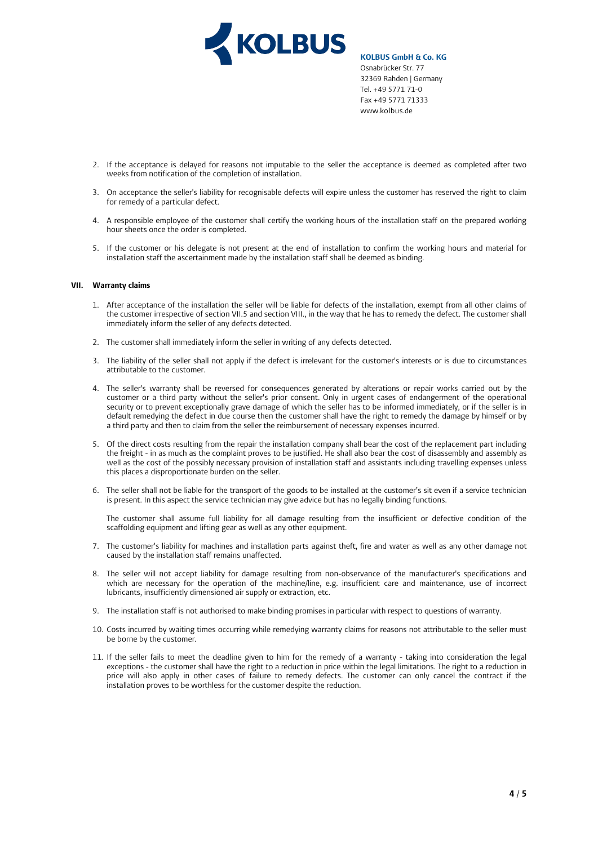

- 2. If the acceptance is delayed for reasons not imputable to the seller the acceptance is deemed as completed after two weeks from notification of the completion of installation.
- 3. On acceptance the seller's liability for recognisable defects will expire unless the customer has reserved the right to claim for remedy of a particular defect.
- 4. A responsible employee of the customer shall certify the working hours of the installation staff on the prepared working hour sheets once the order is completed.
- 5. If the customer or his delegate is not present at the end of installation to confirm the working hours and material for installation staff the ascertainment made by the installation staff shall be deemed as binding.

# **VII. Warranty claims**

- 1. After acceptance of the installation the seller will be liable for defects of the installation, exempt from all other claims of the customer irrespective of section VII.5 and section VIII., in the way that he has to remedy the defect. The customer shall immediately inform the seller of any defects detected.
- 2. The customer shall immediately inform the seller in writing of any defects detected.
- 3. The liability of the seller shall not apply if the defect is irrelevant for the customer's interests or is due to circumstances attributable to the customer.
- 4. The seller's warranty shall be reversed for consequences generated by alterations or repair works carried out by the customer or a third party without the seller's prior consent. Only in urgent cases of endangerment of the operational security or to prevent exceptionally grave damage of which the seller has to be informed immediately, or if the seller is in default remedying the defect in due course then the customer shall have the right to remedy the damage by himself or by a third party and then to claim from the seller the reimbursement of necessary expenses incurred.
- 5. Of the direct costs resulting from the repair the installation company shall bear the cost of the replacement part including the freight - in as much as the complaint proves to be justified. He shall also bear the cost of disassembly and assembly as well as the cost of the possibly necessary provision of installation staff and assistants including travelling expenses unless this places a disproportionate burden on the seller.
- 6. The seller shall not be liable for the transport of the goods to be installed at the customer's sit even if a service technician is present. In this aspect the service technician may give advice but has no legally binding functions.

The customer shall assume full liability for all damage resulting from the insufficient or defective condition of the scaffolding equipment and lifting gear as well as any other equipment.

- 7. The customer's liability for machines and installation parts against theft, fire and water as well as any other damage not caused by the installation staff remains unaffected.
- 8. The seller will not accept liability for damage resulting from non-observance of the manufacturer's specifications and which are necessary for the operation of the machine/line, e.g. insufficient care and maintenance, use of incorrect lubricants, insufficiently dimensioned air supply or extraction, etc.
- 9. The installation staff is not authorised to make binding promises in particular with respect to questions of warranty.
- 10. Costs incurred by waiting times occurring while remedying warranty claims for reasons not attributable to the seller must be borne by the customer.
- 11. If the seller fails to meet the deadline given to him for the remedy of a warranty taking into consideration the legal exceptions - the customer shall have the right to a reduction in price within the legal limitations. The right to a reduction in price will also apply in other cases of failure to remedy defects. The customer can only cancel the contract if the installation proves to be worthless for the customer despite the reduction.